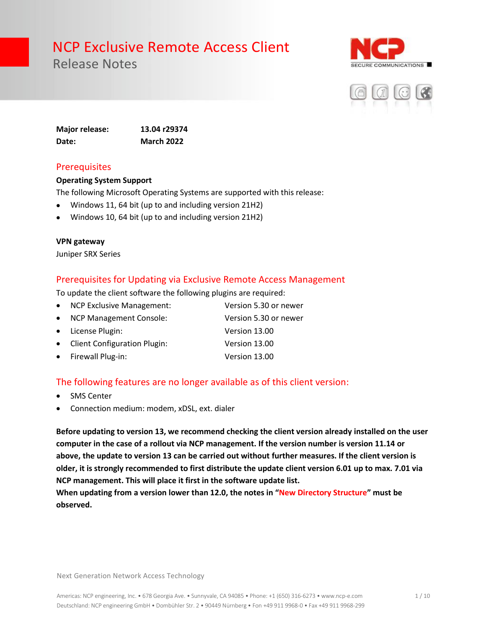Release Notes





**Major release: 13.04 r29374 Date: March 2022**

#### **Prerequisites**

#### **Operating System Support**

The following Microsoft Operating Systems are supported with this release:

- Windows 11, 64 bit (up to and including version 21H2)
- Windows 10, 64 bit (up to and including version 21H2)

#### **VPN gateway**

Juniper SRX Series

#### Prerequisites for Updating via Exclusive Remote Access Management

To update the client software the following plugins are required:

| • NCP Exclusive Management:    | Version 5.30 or newer |
|--------------------------------|-----------------------|
| • NCP Management Console:      | Version 5.30 or newer |
| • License Plugin:              | Version 13.00         |
| • Client Configuration Plugin: | Version 13.00         |
| • Firewall Plug-in:            | Version 13.00         |

#### The following features are no longer available as of this client version:

- **SMS Center**
- Connection medium: modem, xDSL, ext. dialer

**Before updating to version 13, we recommend checking the client version already installed on the user computer in the case of a rollout via NCP management. If the version number is version 11.14 or above, the update to version 13 can be carried out without further measures. If the client version is older, it is strongly recommended to first distribute the update client version 6.01 up to max. 7.01 via NCP management. This will place it first in the software update list.** 

**When updating from a version lower than 12.0, the notes in "New Directory Structure" must be observed.**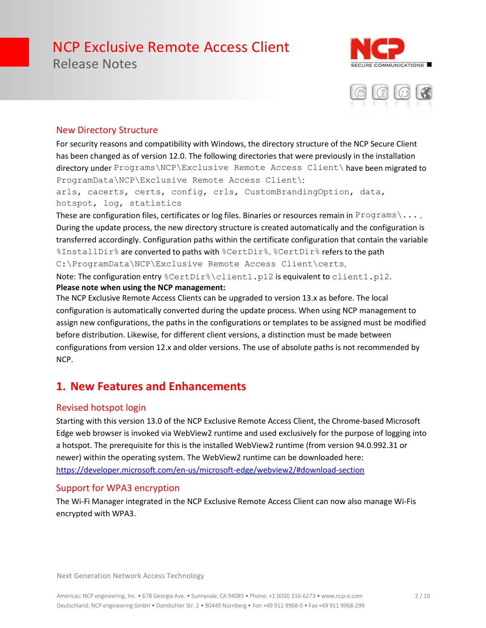Release Notes





#### New Directory Structure

For security reasons and compatibility with Windows, the directory structure of the NCP Secure Client has been changed as of version 12.0. The following directories that were previously in the installation directory under Programs\NCP\Exclusive Remote Access Client\ have been migrated to ProgramData\NCP\Exclusive Remote Access Client\:

arls, cacerts, certs, config, crls, CustomBrandingOption, data, hotspot, log, statistics

These are configuration files, certificates or log files. Binaries or resources remain in Programs \... During the update process, the new directory structure is created automatically and the configuration is transferred accordingly. Configuration paths within the certificate configuration that contain the variable %InstallDir% are converted to paths with %CertDir%. %CertDir% refers to the path C:\ProgramData\NCP\Exclusive Remote Access Client\certs.

Note: The configuration entry %CertDir%\client1.p12 is equivalent to client1.p12. **Please note when using the NCP management:**

The NCP Exclusive Remote Access Clients can be upgraded to version 13.x as before. The local configuration is automatically converted during the update process. When using NCP management to assign new configurations, the paths in the configurations or templates to be assigned must be modified before distribution. Likewise, for different client versions, a distinction must be made between configurations from version 12.x and older versions. The use of absolute paths is not recommended by NCP.

#### **1. New Features and Enhancements**

#### Revised hotspot login

Starting with this version 13.0 of the NCP Exclusive Remote Access Client, the Chrome-based Microsoft Edge web browser is invoked via WebView2 runtime and used exclusively for the purpose of logging into a hotspot. The prerequisite for this is the installed WebView2 runtime (from version 94.0.992.31 or newer) within the operating system. The WebView2 runtime can be downloaded here: <https://developer.microsoft.com/en-us/microsoft-edge/webview2/#download-section>

#### Support for WPA3 encryption

The Wi-Fi Manager integrated in the NCP Exclusive Remote Access Client can now also manage Wi-Fis encrypted with WPA3.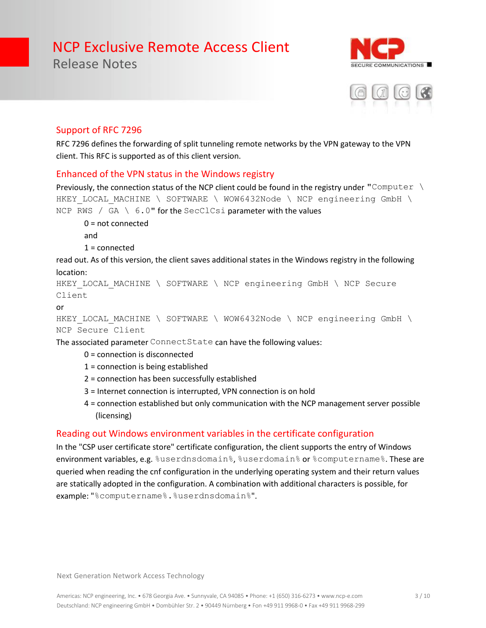E COMMUNICATIONS

#### Support of RFC 7296

Release Notes

RFC 7296 defines the forwarding of split tunneling remote networks by the VPN gateway to the VPN client. This RFC is supported as of this client version.

#### Enhanced of the VPN status in the Windows registry

Previously, the connection status of the NCP client could be found in the registry under "Computer  $\setminus$ HKEY LOCAL MACHINE \ SOFTWARE \ WOW6432Node \ NCP engineering GmbH \ NCP RWS / GA \ 6.0" for the SecClCsi parameter with the values

0 = not connected and  $1 =$ connected

read out. As of this version, the client saves additional states in the Windows registry in the following location:

```
HKEY LOCAL MACHINE \ SOFTWARE \ NCP engineering GmbH \ NCP Secure
Client
```
or

HKEY LOCAL MACHINE \ SOFTWARE \ WOW6432Node \ NCP engineering GmbH \ NCP Secure Client

The associated parameter ConnectState can have the following values:

- 0 = connection is disconnected
- 1 = connection is being established
- 2 = connection has been successfully established
- 3 = Internet connection is interrupted, VPN connection is on hold
- 4 = connection established but only communication with the NCP management server possible (licensing)

#### Reading out Windows environment variables in the certificate configuration

In the "CSP user certificate store" certificate configuration, the client supports the entry of Windows environment variables, e.g. %userdnsdomain%, %userdomain% or %computername%. These are queried when reading the cnf configuration in the underlying operating system and their return values are statically adopted in the configuration. A combination with additional characters is possible, for example: "%computername%.%userdnsdomain%".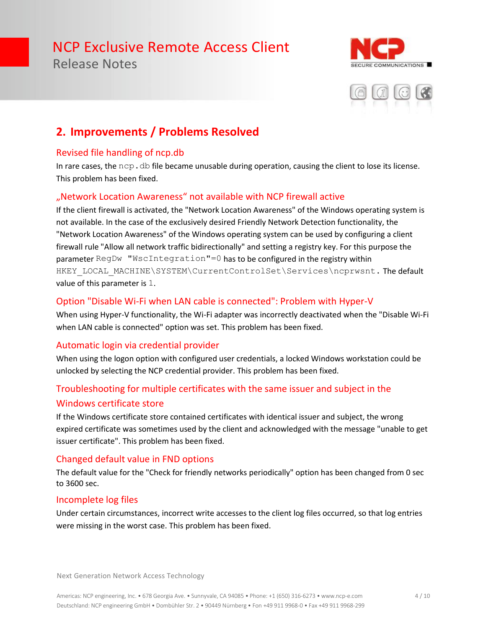Release Notes





### **2. Improvements / Problems Resolved**

#### Revised file handling of ncp.db

In rare cases, the  $ncp$ .  $db$  file became unusable during operation, causing the client to lose its license. This problem has been fixed.

#### "Network Location Awareness" not available with NCP firewall active

If the client firewall is activated, the "Network Location Awareness" of the Windows operating system is not available. In the case of the exclusively desired Friendly Network Detection functionality, the "Network Location Awareness" of the Windows operating system can be used by configuring a client firewall rule "Allow all network traffic bidirectionally" and setting a registry key. For this purpose the parameter RegDw "WscIntegration"=0 has to be configured in the registry within HKEY\_LOCAL\_MACHINE\SYSTEM\CurrentControlSet\Services\ncprwsnt. The default value of this parameter is 1.

#### Option "Disable Wi-Fi when LAN cable is connected": Problem with Hyper-V

When using Hyper-V functionality, the Wi-Fi adapter was incorrectly deactivated when the "Disable Wi-Fi when LAN cable is connected" option was set. This problem has been fixed.

#### Automatic login via credential provider

When using the logon option with configured user credentials, a locked Windows workstation could be unlocked by selecting the NCP credential provider. This problem has been fixed.

#### Troubleshooting for multiple certificates with the same issuer and subject in the Windows certificate store

If the Windows certificate store contained certificates with identical issuer and subject, the wrong expired certificate was sometimes used by the client and acknowledged with the message "unable to get issuer certificate". This problem has been fixed.

#### Changed default value in FND options

The default value for the "Check for friendly networks periodically" option has been changed from 0 sec to 3600 sec.

#### Incomplete log files

Under certain circumstances, incorrect write accesses to the client log files occurred, so that log entries were missing in the worst case. This problem has been fixed.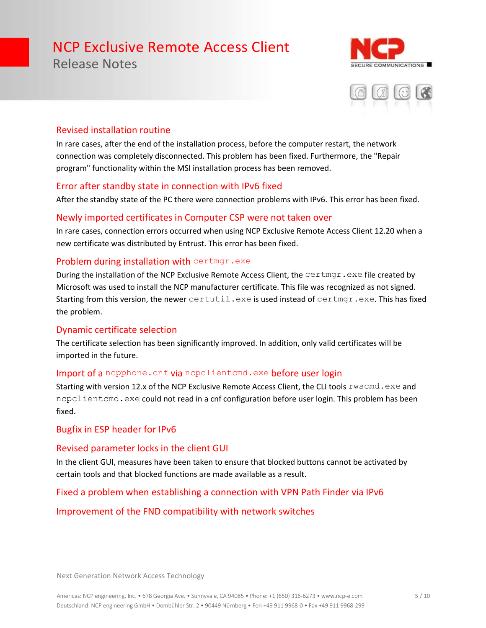Release Notes





#### Revised installation routine

In rare cases, after the end of the installation process, before the computer restart, the network connection was completely disconnected. This problem has been fixed. Furthermore, the "Repair program" functionality within the MSI installation process has been removed.

#### Error after standby state in connection with IPv6 fixed

After the standby state of the PC there were connection problems with IPv6. This error has been fixed.

#### Newly imported certificates in Computer CSP were not taken over

In rare cases, connection errors occurred when using NCP Exclusive Remote Access Client 12.20 when a new certificate was distributed by Entrust. This error has been fixed.

#### Problem during installation with certmgr.exe

During the installation of the NCP Exclusive Remote Access Client, the certmgr.exe file created by Microsoft was used to install the NCP manufacturer certificate. This file was recognized as not signed. Starting from this version, the newer certutil.exe is used instead of certmgr.exe. This has fixed the problem.

#### Dynamic certificate selection

The certificate selection has been significantly improved. In addition, only valid certificates will be imported in the future.

#### Import of a nepphone. cnf via nepelientemd.exe before user login

Starting with version 12.x of the NCP Exclusive Remote Access Client, the CLI tools  $\text{rwscmd}$ . exe and ncpclientcmd.exe could not read in a cnf configuration before user login. This problem has been fixed.

#### Bugfix in ESP header for IPv6

#### Revised parameter locks in the client GUI

In the client GUI, measures have been taken to ensure that blocked buttons cannot be activated by certain tools and that blocked functions are made available as a result.

#### Fixed a problem when establishing a connection with VPN Path Finder via IPv6

#### Improvement of the FND compatibility with network switches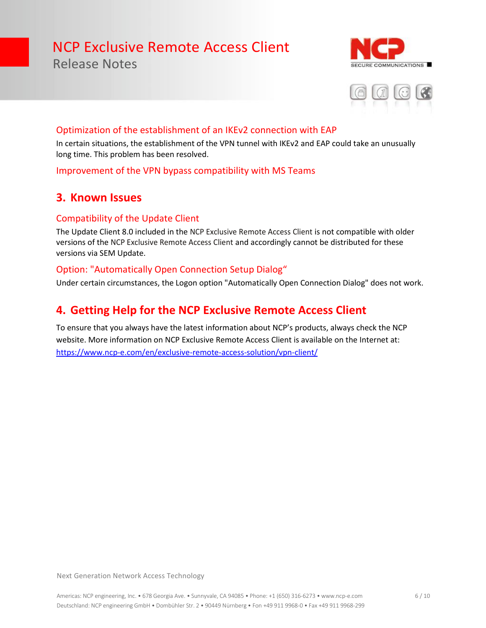Release Notes





#### Optimization of the establishment of an IKEv2 connection with EAP

In certain situations, the establishment of the VPN tunnel with IKEv2 and EAP could take an unusually long time. This problem has been resolved.

#### Improvement of the VPN bypass compatibility with MS Teams

#### **3. Known Issues**

#### Compatibility of the Update Client

The Update Client 8.0 included in the NCP Exclusive Remote Access Client is not compatible with older versions of the NCP Exclusive Remote Access Client and accordingly cannot be distributed for these versions via SEM Update.

#### Option: "Automatically Open Connection Setup Dialog"

Under certain circumstances, the Logon option "Automatically Open Connection Dialog" does not work.

#### **4. Getting Help for the NCP Exclusive Remote Access Client**

To ensure that you always have the latest information about NCP's products, always check the NCP website. More information on NCP Exclusive Remote Access Client is available on the Internet at: <https://www.ncp-e.com/en/exclusive-remote-access-solution/vpn-client/>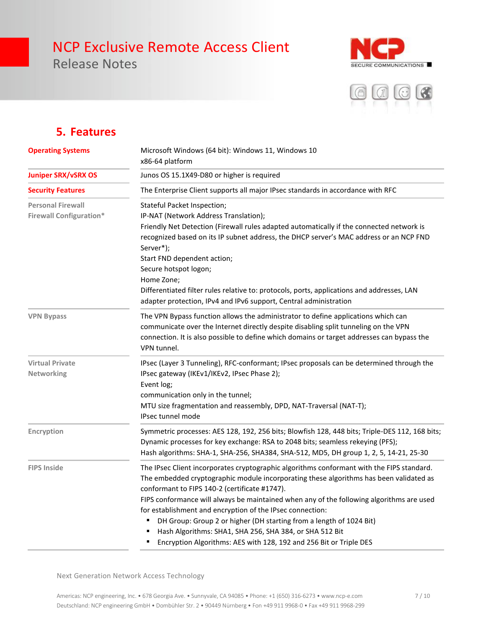Release Notes





#### **5. Features**

| <b>Operating Systems</b>                                   | Microsoft Windows (64 bit): Windows 11, Windows 10<br>x86-64 platform<br>Junos OS 15.1X49-D80 or higher is required<br>The Enterprise Client supports all major IPsec standards in accordance with RFC                                                                                                                                                                                                                                                                                                                                                                                                |  |
|------------------------------------------------------------|-------------------------------------------------------------------------------------------------------------------------------------------------------------------------------------------------------------------------------------------------------------------------------------------------------------------------------------------------------------------------------------------------------------------------------------------------------------------------------------------------------------------------------------------------------------------------------------------------------|--|
| <b>Juniper SRX/vSRX OS</b>                                 |                                                                                                                                                                                                                                                                                                                                                                                                                                                                                                                                                                                                       |  |
| <b>Security Features</b>                                   |                                                                                                                                                                                                                                                                                                                                                                                                                                                                                                                                                                                                       |  |
| <b>Personal Firewall</b><br><b>Firewall Configuration*</b> | Stateful Packet Inspection;<br>IP-NAT (Network Address Translation);<br>Friendly Net Detection (Firewall rules adapted automatically if the connected network is<br>recognized based on its IP subnet address, the DHCP server's MAC address or an NCP FND<br>Server*);<br>Start FND dependent action;<br>Secure hotspot logon;<br>Home Zone;<br>Differentiated filter rules relative to: protocols, ports, applications and addresses, LAN<br>adapter protection, IPv4 and IPv6 support, Central administration                                                                                      |  |
| <b>VPN Bypass</b>                                          | The VPN Bypass function allows the administrator to define applications which can<br>communicate over the Internet directly despite disabling split tunneling on the VPN<br>connection. It is also possible to define which domains or target addresses can bypass the<br>VPN tunnel.                                                                                                                                                                                                                                                                                                                 |  |
| <b>Virtual Private</b><br>Networking                       | IPsec (Layer 3 Tunneling), RFC-conformant; IPsec proposals can be determined through the<br>IPsec gateway (IKEv1/IKEv2, IPsec Phase 2);<br>Event log;<br>communication only in the tunnel;<br>MTU size fragmentation and reassembly, DPD, NAT-Traversal (NAT-T);<br><b>IPsec tunnel mode</b>                                                                                                                                                                                                                                                                                                          |  |
| Encryption                                                 | Symmetric processes: AES 128, 192, 256 bits; Blowfish 128, 448 bits; Triple-DES 112, 168 bits;<br>Dynamic processes for key exchange: RSA to 2048 bits; seamless rekeying (PFS);<br>Hash algorithms: SHA-1, SHA-256, SHA384, SHA-512, MD5, DH group 1, 2, 5, 14-21, 25-30                                                                                                                                                                                                                                                                                                                             |  |
| <b>FIPS Inside</b>                                         | The IPsec Client incorporates cryptographic algorithms conformant with the FIPS standard.<br>The embedded cryptographic module incorporating these algorithms has been validated as<br>conformant to FIPS 140-2 (certificate #1747).<br>FIPS conformance will always be maintained when any of the following algorithms are used<br>for establishment and encryption of the IPsec connection:<br>DH Group: Group 2 or higher (DH starting from a length of 1024 Bit)<br>Hash Algorithms: SHA1, SHA 256, SHA 384, or SHA 512 Bit<br>Encryption Algorithms: AES with 128, 192 and 256 Bit or Triple DES |  |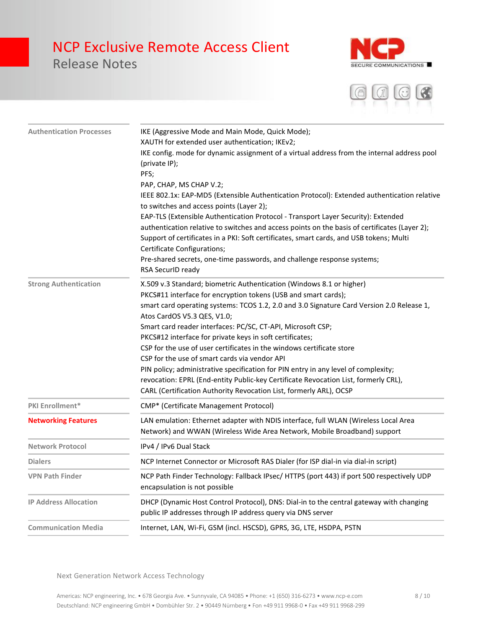### Release Notes





| <b>Authentication Processes</b> | IKE (Aggressive Mode and Main Mode, Quick Mode);<br>XAUTH for extended user authentication; IKEv2;<br>IKE config. mode for dynamic assignment of a virtual address from the internal address pool<br>(private IP);<br>PFS;<br>PAP, CHAP, MS CHAP V.2;<br>IEEE 802.1x: EAP-MD5 (Extensible Authentication Protocol): Extended authentication relative<br>to switches and access points (Layer 2);<br>EAP-TLS (Extensible Authentication Protocol - Transport Layer Security): Extended<br>authentication relative to switches and access points on the basis of certificates (Layer 2);<br>Support of certificates in a PKI: Soft certificates, smart cards, and USB tokens; Multi<br>Certificate Configurations;<br>Pre-shared secrets, one-time passwords, and challenge response systems;<br>RSA SecurID ready |
|---------------------------------|------------------------------------------------------------------------------------------------------------------------------------------------------------------------------------------------------------------------------------------------------------------------------------------------------------------------------------------------------------------------------------------------------------------------------------------------------------------------------------------------------------------------------------------------------------------------------------------------------------------------------------------------------------------------------------------------------------------------------------------------------------------------------------------------------------------|
| <b>Strong Authentication</b>    | X.509 v.3 Standard; biometric Authentication (Windows 8.1 or higher)<br>PKCS#11 interface for encryption tokens (USB and smart cards);<br>smart card operating systems: TCOS 1.2, 2.0 and 3.0 Signature Card Version 2.0 Release 1,<br>Atos CardOS V5.3 QES, V1.0;<br>Smart card reader interfaces: PC/SC, CT-API, Microsoft CSP;<br>PKCS#12 interface for private keys in soft certificates;<br>CSP for the use of user certificates in the windows certificate store<br>CSP for the use of smart cards via vendor API<br>PIN policy; administrative specification for PIN entry in any level of complexity;<br>revocation: EPRL (End-entity Public-key Certificate Revocation List, formerly CRL),<br>CARL (Certification Authority Revocation List, formerly ARL), OCSP                                       |
| <b>PKI Enrollment*</b>          | CMP* (Certificate Management Protocol)                                                                                                                                                                                                                                                                                                                                                                                                                                                                                                                                                                                                                                                                                                                                                                           |
| <b>Networking Features</b>      | LAN emulation: Ethernet adapter with NDIS interface, full WLAN (Wireless Local Area<br>Network) and WWAN (Wireless Wide Area Network, Mobile Broadband) support                                                                                                                                                                                                                                                                                                                                                                                                                                                                                                                                                                                                                                                  |
| <b>Network Protocol</b>         | IPv4 / IPv6 Dual Stack                                                                                                                                                                                                                                                                                                                                                                                                                                                                                                                                                                                                                                                                                                                                                                                           |
| <b>Dialers</b>                  | NCP Internet Connector or Microsoft RAS Dialer (for ISP dial-in via dial-in script)                                                                                                                                                                                                                                                                                                                                                                                                                                                                                                                                                                                                                                                                                                                              |
| <b>VPN Path Finder</b>          | NCP Path Finder Technology: Fallback IPsec/ HTTPS (port 443) if port 500 respectively UDP<br>encapsulation is not possible                                                                                                                                                                                                                                                                                                                                                                                                                                                                                                                                                                                                                                                                                       |
| <b>IP Address Allocation</b>    | DHCP (Dynamic Host Control Protocol), DNS: Dial-in to the central gateway with changing<br>public IP addresses through IP address query via DNS server                                                                                                                                                                                                                                                                                                                                                                                                                                                                                                                                                                                                                                                           |
| <b>Communication Media</b>      | Internet, LAN, Wi-Fi, GSM (incl. HSCSD), GPRS, 3G, LTE, HSDPA, PSTN                                                                                                                                                                                                                                                                                                                                                                                                                                                                                                                                                                                                                                                                                                                                              |
|                                 |                                                                                                                                                                                                                                                                                                                                                                                                                                                                                                                                                                                                                                                                                                                                                                                                                  |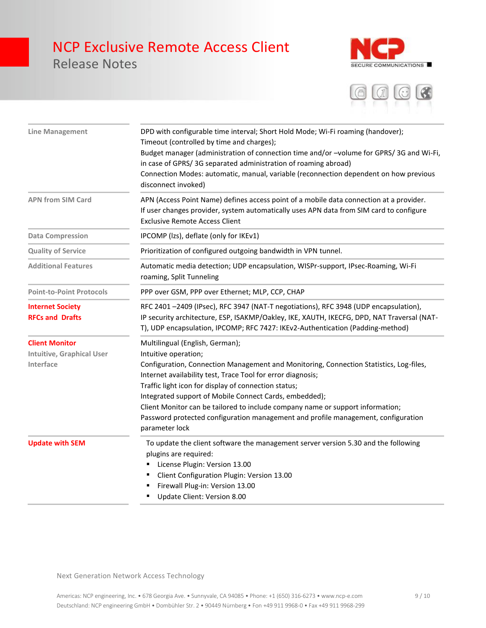Release Notes





| <b>Line Management</b>                                                 | DPD with configurable time interval; Short Hold Mode; Wi-Fi roaming (handover);<br>Timeout (controlled by time and charges);<br>Budget manager (administration of connection time and/or -volume for GPRS/3G and Wi-Fi,<br>in case of GPRS/3G separated administration of roaming abroad)<br>Connection Modes: automatic, manual, variable (reconnection dependent on how previous<br>disconnect invoked)                                                                                                                   |  |
|------------------------------------------------------------------------|-----------------------------------------------------------------------------------------------------------------------------------------------------------------------------------------------------------------------------------------------------------------------------------------------------------------------------------------------------------------------------------------------------------------------------------------------------------------------------------------------------------------------------|--|
| <b>APN from SIM Card</b>                                               | APN (Access Point Name) defines access point of a mobile data connection at a provider.<br>If user changes provider, system automatically uses APN data from SIM card to configure<br><b>Exclusive Remote Access Client</b>                                                                                                                                                                                                                                                                                                 |  |
| <b>Data Compression</b>                                                | IPCOMP (lzs), deflate (only for IKEv1)                                                                                                                                                                                                                                                                                                                                                                                                                                                                                      |  |
| <b>Quality of Service</b>                                              | Prioritization of configured outgoing bandwidth in VPN tunnel.                                                                                                                                                                                                                                                                                                                                                                                                                                                              |  |
| <b>Additional Features</b>                                             | Automatic media detection; UDP encapsulation, WISPr-support, IPsec-Roaming, Wi-Fi<br>roaming, Split Tunneling                                                                                                                                                                                                                                                                                                                                                                                                               |  |
| <b>Point-to-Point Protocols</b>                                        | PPP over GSM, PPP over Ethernet; MLP, CCP, CHAP                                                                                                                                                                                                                                                                                                                                                                                                                                                                             |  |
| <b>Internet Society</b><br><b>RFCs and Drafts</b>                      | RFC 2401-2409 (IPsec), RFC 3947 (NAT-T negotiations), RFC 3948 (UDP encapsulation),<br>IP security architecture, ESP, ISAKMP/Oakley, IKE, XAUTH, IKECFG, DPD, NAT Traversal (NAT-<br>T), UDP encapsulation, IPCOMP; RFC 7427: IKEv2-Authentication (Padding-method)                                                                                                                                                                                                                                                         |  |
| <b>Client Monitor</b><br><b>Intuitive, Graphical User</b><br>Interface | Multilingual (English, German);<br>Intuitive operation;<br>Configuration, Connection Management and Monitoring, Connection Statistics, Log-files,<br>Internet availability test, Trace Tool for error diagnosis;<br>Traffic light icon for display of connection status;<br>Integrated support of Mobile Connect Cards, embedded);<br>Client Monitor can be tailored to include company name or support information;<br>Password protected configuration management and profile management, configuration<br>parameter lock |  |
| <b>Update with SEM</b>                                                 | To update the client software the management server version 5.30 and the following<br>plugins are required:<br>License Plugin: Version 13.00<br>Client Configuration Plugin: Version 13.00<br>Firewall Plug-in: Version 13.00<br>Update Client: Version 8.00                                                                                                                                                                                                                                                                |  |